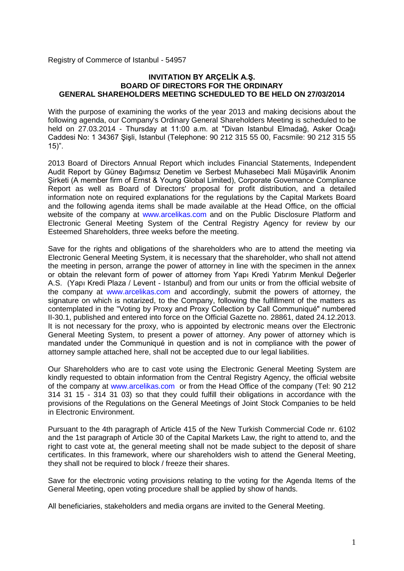Registry of Commerce of Istanbul - 54957

#### **INVITATION BY ARÇELİK A.Ş. BOARD OF DIRECTORS FOR THE ORDINARY GENERAL SHAREHOLDERS MEETING SCHEDULED TO BE HELD ON 27/03/2014**

With the purpose of examining the works of the year 2013 and making decisions about the following agenda, our Company's Ordinary General Shareholders Meeting is scheduled to be held on 27.03.2014 - Thursday at 11:00 a.m. at "Divan Istanbul Elmadağ, Asker Ocağı Caddesi No: 1 34367 Şişli, Istanbul (Telephone: 90 212 315 55 00, Facsmile: 90 212 315 55 15)".

2013 Board of Directors Annual Report which includes Financial Statements, Independent Audit Report by Güney Bağımsız Denetim ve Serbest Muhasebeci Mali Müşavirlik Anonim Şirketi (A member firm of Ernst & Young Global Limited), Corporate Governance Compliance Report as well as Board of Directors' proposal for profit distribution, and a detailed information note on required explanations for the regulations by the Capital Markets Board and the following agenda items shall be made available at the Head Office, on the official website of the company at [www.arcelikas.com](http://www.arcelikas.com.tr/) and on the Public Disclosure Platform and Electronic General Meeting System of the Central Registry Agency for review by our Esteemed Shareholders, three weeks before the meeting.

Save for the rights and obligations of the shareholders who are to attend the meeting via Electronic General Meeting System, it is necessary that the shareholder, who shall not attend the meeting in person, arrange the power of attorney in line with the specimen in the annex or obtain the relevant form of power of attorney from Yapı Kredi Yatırım Menkul Değerler A.S. (Yapı Kredi Plaza / Levent - Istanbul) and from our units or from the official website of the company at [www.arcelikas.com](http://www.arcelikas.com.tr/) and accordingly, submit the powers of attorney, the signature on which is notarized, to the Company, following the fulfillment of the matters as contemplated in the "Voting by Proxy and Proxy Collection by Call Communiqué" numbered II-30.1, published and entered into force on the Official Gazette no. 28861, dated 24.12.2013. It is not necessary for the proxy, who is appointed by electronic means over the Electronic General Meeting System, to present a power of attorney. Any power of attorney which is mandated under the Communiqué in question and is not in compliance with the power of attorney sample attached here, shall not be accepted due to our legal liabilities.

Our Shareholders who are to cast vote using the Electronic General Meeting System are kindly requested to obtain information from the Central Registry Agency, the official website of the company at [www.arcelikas.com](http://www.arcelikas.com.tr/) or from the Head Office of the company [\(Tel: 90](tel:0) 212 314 31 15 - 314 31 03) so that they could fulfill their obligations in accordance with the provisions of the Regulations on the General Meetings of Joint Stock Companies to be held in Electronic Environment.

Pursuant to the 4th paragraph of Article 415 of the New Turkish Commercial Code nr. 6102 and the 1st paragraph of Article 30 of the Capital Markets Law, the right to attend to, and the right to cast vote at, the general meeting shall not be made subject to the deposit of share certificates. In this framework, where our shareholders wish to attend the General Meeting, they shall not be required to block / freeze their shares.

Save for the electronic voting provisions relating to the voting for the Agenda Items of the General Meeting, open voting procedure shall be applied by show of hands.

All beneficiaries, stakeholders and media organs are invited to the General Meeting.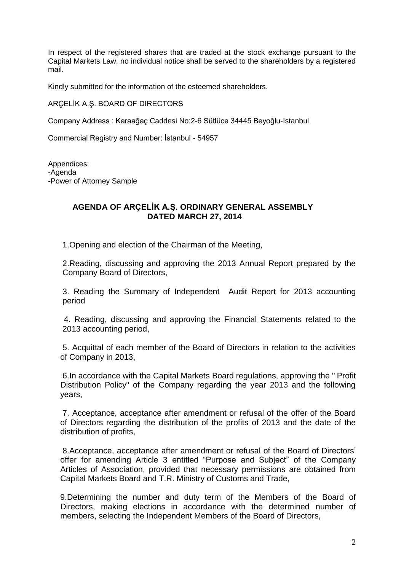In respect of the registered shares that are traded at the stock exchange pursuant to the Capital Markets Law, no individual notice shall be served to the shareholders by a registered mail.

Kindly submitted for the information of the esteemed shareholders.

ARÇELİK A.Ş. BOARD OF DIRECTORS

Company Address : Karaağaç Caddesi No:2-6 Sütlüce 34445 Beyoğlu-Istanbul

Commercial Registry and Number: İstanbul - 54957

Appendices: -Agenda -Power of Attorney Sample

#### **AGENDA OF ARÇELİK A.Ş. ORDINARY GENERAL ASSEMBLY DATED MARCH 27, 2014**

1.Opening and election of the Chairman of the Meeting,

2.Reading, discussing and approving the 2013 Annual Report prepared by the Company Board of Directors,

3. Reading the Summary of Independent Audit Report for 2013 accounting period

 4. Reading, discussing and approving the Financial Statements related to the 2013 accounting period,

5. Acquittal of each member of the Board of Directors in relation to the activities of Company in 2013,

6.In accordance with the Capital Markets Board regulations, approving the " Profit Distribution Policy" of the Company regarding the year 2013 and the following years,

7. Acceptance, acceptance after amendment or refusal of the offer of the Board of Directors regarding the distribution of the profits of 2013 and the date of the distribution of profits,

8.Acceptance, acceptance after amendment or refusal of the Board of Directors' offer for amending Article 3 entitled "Purpose and Subject" of the Company Articles of Association, provided that necessary permissions are obtained from Capital Markets Board and T.R. Ministry of Customs and Trade,

9.Determining the number and duty term of the Members of the Board of Directors, making elections in accordance with the determined number of members, selecting the Independent Members of the Board of Directors,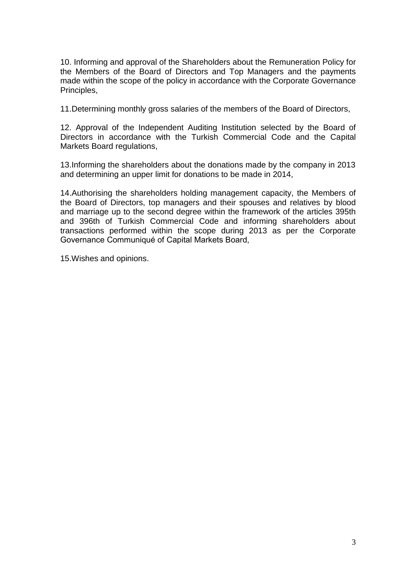10. Informing and approval of the Shareholders about the Remuneration Policy for the Members of the Board of Directors and Top Managers and the payments made within the scope of the policy in accordance with the Corporate Governance Principles,

11.Determining monthly gross salaries of the members of the Board of Directors,

12. Approval of the Independent Auditing Institution selected by the Board of Directors in accordance with the Turkish Commercial Code and the Capital Markets Board regulations,

13.Informing the shareholders about the donations made by the company in 2013 and determining an upper limit for donations to be made in 2014,

14.Authorising the shareholders holding management capacity, the Members of the Board of Directors, top managers and their spouses and relatives by blood and marriage up to the second degree within the framework of the articles 395th and 396th of Turkish Commercial Code and informing shareholders about transactions performed within the scope during 2013 as per the Corporate Governance Communiqué of Capital Markets Board,

15.Wishes and opinions.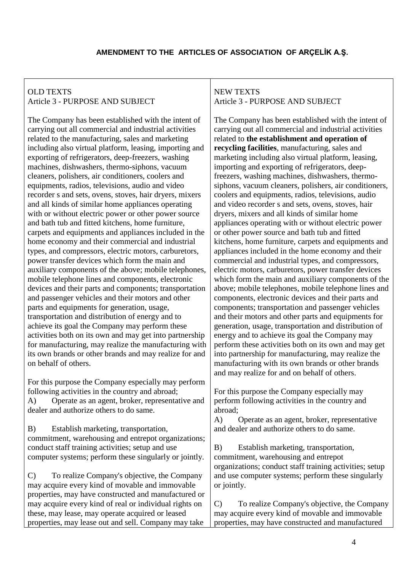# **AMENDMENT TO THE ARTICLES OF ASSOCIATION OF ARÇELİK A.Ş.**

# OLD TEXTS Article 3 - PURPOSE AND SUBJECT

The Company has been established with the intent of carrying out all commercial and industrial activities related to the manufacturing, sales and marketing including also virtual platform, leasing, importing and exporting of refrigerators, deep-freezers, washing machines, dishwashers, thermo-siphons, vacuum cleaners, polishers, air conditioners, coolers and equipments, radios, televisions, audio and video recorder s and sets, ovens, stoves, hair dryers, mixers and all kinds of similar home appliances operating with or without electric power or other power source and bath tub and fitted kitchens, home furniture, carpets and equipments and appliances included in the home economy and their commercial and industrial types, and compressors, electric motors, carburetors, power transfer devices which form the main and auxiliary components of the above; mobile telephones, mobile telephone lines and components, electronic devices and their parts and components; transportation and passenger vehicles and their motors and other parts and equipments for generation, usage, transportation and distribution of energy and to achieve its goal the Company may perform these activities both on its own and may get into partnership for manufacturing, may realize the manufacturing with its own brands or other brands and may realize for and on behalf of others.

For this purpose the Company especially may perform following activities in the country and abroad; A) Operate as an agent, broker, representative and dealer and authorize others to do same.

B) Establish marketing, transportation, commitment, warehousing and entrepot organizations; conduct staff training activities; setup and use computer systems; perform these singularly or jointly.

C) To realize Company's objective, the Company may acquire every kind of movable and immovable properties, may have constructed and manufactured or may acquire every kind of real or individual rights on these, may lease, may operate acquired or leased properties, may lease out and sell. Company may take

## NEW TEXTS Article 3 - PURPOSE AND SUBJECT

The Company has been established with the intent of carrying out all commercial and industrial activities related to **the establishment and operation of recycling facilities**, manufacturing, sales and marketing including also virtual platform, leasing, importing and exporting of refrigerators, deepfreezers, washing machines, dishwashers, thermosiphons, vacuum cleaners, polishers, air conditioners, coolers and equipments, radios, televisions, audio and video recorder s and sets, ovens, stoves, hair dryers, mixers and all kinds of similar home appliances operating with or without electric power or other power source and bath tub and fitted kitchens, home furniture, carpets and equipments and appliances included in the home economy and their commercial and industrial types, and compressors, electric motors, carburetors, power transfer devices which form the main and auxiliary components of the above; mobile telephones, mobile telephone lines and components, electronic devices and their parts and components; transportation and passenger vehicles and their motors and other parts and equipments for generation, usage, transportation and distribution of energy and to achieve its goal the Company may perform these activities both on its own and may get into partnership for manufacturing, may realize the manufacturing with its own brands or other brands and may realize for and on behalf of others.

For this purpose the Company especially may perform following activities in the country and abroad;

A) Operate as an agent, broker, representative and dealer and authorize others to do same.

B) Establish marketing, transportation, commitment, warehousing and entrepot organizations; conduct staff training activities; setup and use computer systems; perform these singularly or jointly.

C) To realize Company's objective, the Company may acquire every kind of movable and immovable properties, may have constructed and manufactured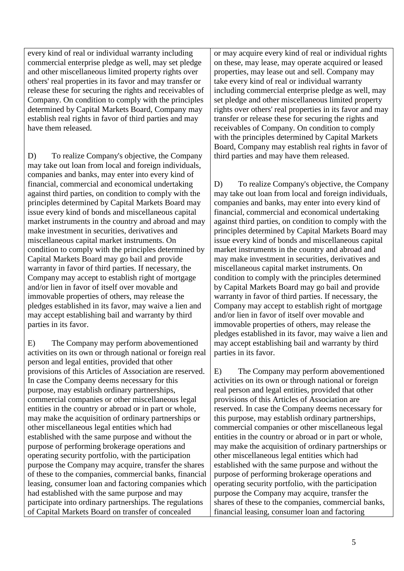every kind of real or individual warranty including commercial enterprise pledge as well, may set pledge and other miscellaneous limited property rights over others' real properties in its favor and may transfer or release these for securing the rights and receivables of Company. On condition to comply with the principles determined by Capital Markets Board, Company may establish real rights in favor of third parties and may have them released.

D) To realize Company's objective, the Company may take out loan from local and foreign individuals, companies and banks, may enter into every kind of financial, commercial and economical undertaking against third parties, on condition to comply with the principles determined by Capital Markets Board may issue every kind of bonds and miscellaneous capital market instruments in the country and abroad and may make investment in securities, derivatives and miscellaneous capital market instruments. On condition to comply with the principles determined by Capital Markets Board may go bail and provide warranty in favor of third parties. If necessary, the Company may accept to establish right of mortgage and/or lien in favor of itself over movable and immovable properties of others, may release the pledges established in its favor, may waive a lien and may accept establishing bail and warranty by third parties in its favor.

E) The Company may perform abovementioned activities on its own or through national or foreign real person and legal entities, provided that other provisions of this Articles of Association are reserved. In case the Company deems necessary for this purpose, may establish ordinary partnerships, commercial companies or other miscellaneous legal entities in the country or abroad or in part or whole, may make the acquisition of ordinary partnerships or other miscellaneous legal entities which had established with the same purpose and without the purpose of performing brokerage operations and operating security portfolio, with the participation purpose the Company may acquire, transfer the shares of these to the companies, commercial banks, financial leasing, consumer loan and factoring companies which had established with the same purpose and may participate into ordinary partnerships. The regulations of Capital Markets Board on transfer of concealed

or may acquire every kind of real or individual rights on these, may lease, may operate acquired or leased properties, may lease out and sell. Company may take every kind of real or individual warranty including commercial enterprise pledge as well, may set pledge and other miscellaneous limited property rights over others' real properties in its favor and may transfer or release these for securing the rights and receivables of Company. On condition to comply with the principles determined by Capital Markets Board, Company may establish real rights in favor of third parties and may have them released.

D) To realize Company's objective, the Company may take out loan from local and foreign individuals, companies and banks, may enter into every kind of financial, commercial and economical undertaking against third parties, on condition to comply with the principles determined by Capital Markets Board may issue every kind of bonds and miscellaneous capital market instruments in the country and abroad and may make investment in securities, derivatives and miscellaneous capital market instruments. On condition to comply with the principles determined by Capital Markets Board may go bail and provide warranty in favor of third parties. If necessary, the Company may accept to establish right of mortgage and/or lien in favor of itself over movable and immovable properties of others, may release the pledges established in its favor, may waive a lien and may accept establishing bail and warranty by third parties in its favor.

E) The Company may perform abovementioned activities on its own or through national or foreign real person and legal entities, provided that other provisions of this Articles of Association are reserved. In case the Company deems necessary for this purpose, may establish ordinary partnerships, commercial companies or other miscellaneous legal entities in the country or abroad or in part or whole, may make the acquisition of ordinary partnerships or other miscellaneous legal entities which had established with the same purpose and without the purpose of performing brokerage operations and operating security portfolio, with the participation purpose the Company may acquire, transfer the shares of these to the companies, commercial banks, financial leasing, consumer loan and factoring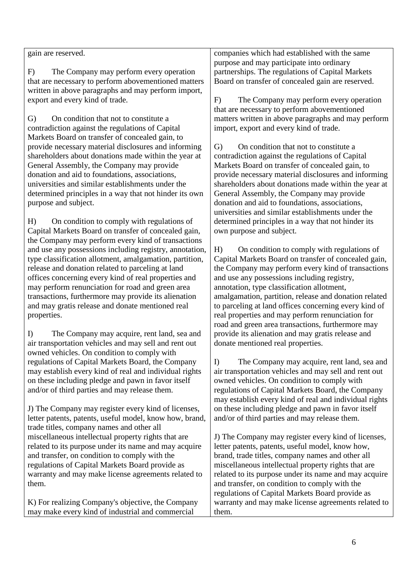|                                                         | purpose and may participate into ordinary              |
|---------------------------------------------------------|--------------------------------------------------------|
| The Company may perform every operation<br>F)           | partnerships. The regulations of Capital Markets       |
| that are necessary to perform abovementioned matters    | Board on transfer of concealed gain are reserved.      |
| written in above paragraphs and may perform import,     |                                                        |
| export and every kind of trade.                         | F)<br>The Company may perform every operation          |
|                                                         | that are necessary to perform abovementioned           |
| On condition that not to constitute a<br>G)             | matters written in above paragraphs and may perform    |
| contradiction against the regulations of Capital        | import, export and every kind of trade.                |
| Markets Board on transfer of concealed gain, to         |                                                        |
| provide necessary material disclosures and informing    | On condition that not to constitute a<br>G)            |
| shareholders about donations made within the year at    | contradiction against the regulations of Capital       |
| General Assembly, the Company may provide               | Markets Board on transfer of concealed gain, to        |
| donation and aid to foundations, associations,          | provide necessary material disclosures and informing   |
| universities and similar establishments under the       | shareholders about donations made within the year at   |
|                                                         |                                                        |
| determined principles in a way that not hinder its own  | General Assembly, the Company may provide              |
| purpose and subject.                                    | donation and aid to foundations, associations,         |
|                                                         | universities and similar establishments under the      |
| H)<br>On condition to comply with regulations of        | determined principles in a way that not hinder its     |
| Capital Markets Board on transfer of concealed gain,    | own purpose and subject.                               |
| the Company may perform every kind of transactions      |                                                        |
| and use any possessions including registry, annotation, | On condition to comply with regulations of<br>H)       |
| type classification allotment, amalgamation, partition, | Capital Markets Board on transfer of concealed gain,   |
| release and donation related to parceling at land       | the Company may perform every kind of transactions     |
| offices concerning every kind of real properties and    | and use any possessions including registry,            |
| may perform renunciation for road and green area        | annotation, type classification allotment,             |
| transactions, furthermore may provide its alienation    | amalgamation, partition, release and donation related  |
| and may gratis release and donate mentioned real        | to parceling at land offices concerning every kind of  |
| properties.                                             | real properties and may perform renunciation for       |
|                                                         | road and green area transactions, furthermore may      |
| The Company may acquire, rent land, sea and<br>$\bf{D}$ | provide its alienation and may gratis release and      |
| air transportation vehicles and may sell and rent out   | donate mentioned real properties.                      |
| owned vehicles. On condition to comply with             |                                                        |
| regulations of Capital Markets Board, the Company       | I<br>The Company may acquire, rent land, sea and       |
| may establish every kind of real and individual rights  | air transportation vehicles and may sell and rent out  |
| on these including pledge and pawn in favor itself      | owned vehicles. On condition to comply with            |
| and/or of third parties and may release them.           | regulations of Capital Markets Board, the Company      |
|                                                         | may establish every kind of real and individual rights |
|                                                         | on these including pledge and pawn in favor itself     |
| J) The Company may register every kind of licenses,     |                                                        |
| letter patents, patents, useful model, know how, brand, | and/or of third parties and may release them.          |
| trade titles, company names and other all               |                                                        |
| miscellaneous intellectual property rights that are     | J) The Company may register every kind of licenses,    |
| related to its purpose under its name and may acquire   | letter patents, patents, useful model, know how,       |
| and transfer, on condition to comply with the           | brand, trade titles, company names and other all       |
|                                                         |                                                        |

regulations of Capital Markets Board provide as warranty and may make license agreements related to them.

gain are reserved.

K) For realizing Company's objective, the Company may make every kind of industrial and commercial

miscellaneous intellectual property rights that are related to its purpose under its name and may acquire and transfer, on condition to comply with the regulations of Capital Markets Board provide as warranty and may make license agreements related to them.

companies which had established with the same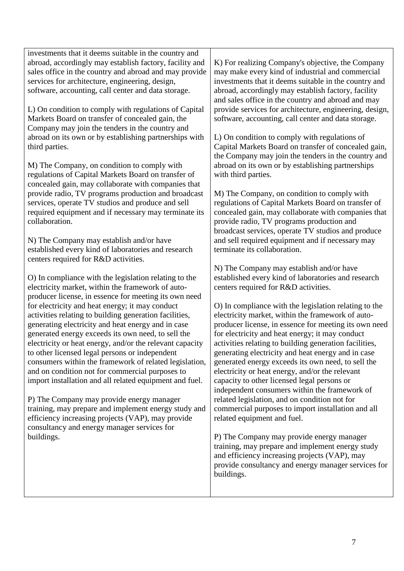investments that it deems suitable in the country and abroad, accordingly may establish factory, facility and sales office in the country and abroad and may provide services for architecture, engineering, design, software, accounting, call center and data storage.

L) On condition to comply with regulations of Capital Markets Board on transfer of concealed gain, the Company may join the tenders in the country and abroad on its own or by establishing partnerships with third parties.

M) The Company, on condition to comply with regulations of Capital Markets Board on transfer of concealed gain, may collaborate with companies that provide radio, TV programs production and broadcast services, operate TV studios and produce and sell required equipment and if necessary may terminate its collaboration.

N) The Company may establish and/or have established every kind of laboratories and research centers required for R&D activities.

O) In compliance with the legislation relating to the electricity market, within the framework of autoproducer license, in essence for meeting its own need for electricity and heat energy; it may conduct activities relating to building generation facilities, generating electricity and heat energy and in case generated energy exceeds its own need, to sell the electricity or heat energy, and/or the relevant capacity to other licensed legal persons or independent consumers within the framework of related legislation, and on condition not for commercial purposes to import installation and all related equipment and fuel.

P) The Company may provide energy manager training, may prepare and implement energy study and efficiency increasing projects (VAP), may provide consultancy and energy manager services for buildings.

K) For realizing Company's objective, the Company may make every kind of industrial and commercial investments that it deems suitable in the country and abroad, accordingly may establish factory, facility and sales office in the country and abroad and may provide services for architecture, engineering, design, software, accounting, call center and data storage.

L) On condition to comply with regulations of Capital Markets Board on transfer of concealed gain, the Company may join the tenders in the country and abroad on its own or by establishing partnerships with third parties.

M) The Company, on condition to comply with regulations of Capital Markets Board on transfer of concealed gain, may collaborate with companies that provide radio, TV programs production and broadcast services, operate TV studios and produce and sell required equipment and if necessary may terminate its collaboration.

N) The Company may establish and/or have established every kind of laboratories and research centers required for R&D activities.

O) In compliance with the legislation relating to the electricity market, within the framework of autoproducer license, in essence for meeting its own need for electricity and heat energy; it may conduct activities relating to building generation facilities, generating electricity and heat energy and in case generated energy exceeds its own need, to sell the electricity or heat energy, and/or the relevant capacity to other licensed legal persons or independent consumers within the framework of related legislation, and on condition not for commercial purposes to import installation and all related equipment and fuel.

P) The Company may provide energy manager training, may prepare and implement energy study and efficiency increasing projects (VAP), may provide consultancy and energy manager services for buildings.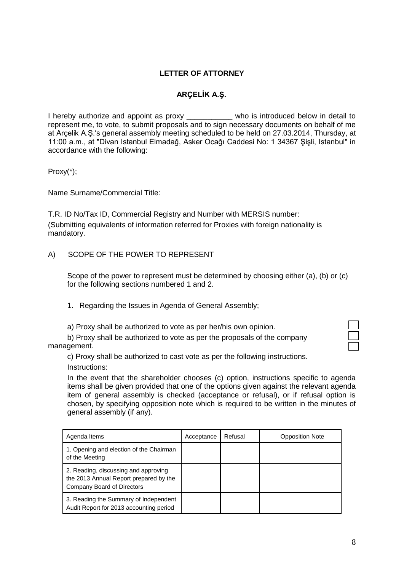## **LETTER OF ATTORNEY**

# **ARÇELİK A.Ş.**

I hereby authorize and appoint as proxy \_\_\_\_\_\_\_\_\_\_\_ who is introduced below in detail to represent me, to vote, to submit proposals and to sign necessary documents on behalf of me at Arçelik A.Ş.'s general assembly meeting scheduled to be held on 27.03.2014, Thursday, at 11:00 a.m., at "Divan Istanbul Elmadağ, Asker Ocağı Caddesi No: 1 34367 Şişli, Istanbul" in accordance with the following:

Proxy(\*);

Name Surname/Commercial Title:

T.R. ID No/Tax ID, Commercial Registry and Number with MERSIS number: (Submitting equivalents of information referred for Proxies with foreign nationality is mandatory.

#### A) SCOPE OF THE POWER TO REPRESENT

Scope of the power to represent must be determined by choosing either (a), (b) or (c) for the following sections numbered 1 and 2.

1. Regarding the Issues in Agenda of General Assembly;

a) Proxy shall be authorized to vote as per her/his own opinion.

b) Proxy shall be authorized to vote as per the proposals of the company management.

c) Proxy shall be authorized to cast vote as per the following instructions. Instructions:

In the event that the shareholder chooses (c) option, instructions specific to agenda items shall be given provided that one of the options given against the relevant agenda item of general assembly is checked (acceptance or refusal), or if refusal option is chosen, by specifying opposition note which is required to be written in the minutes of general assembly (if any).

| Agenda Items                                                                                                 | Acceptance | Refusal | <b>Opposition Note</b> |
|--------------------------------------------------------------------------------------------------------------|------------|---------|------------------------|
| 1. Opening and election of the Chairman<br>of the Meeting                                                    |            |         |                        |
| 2. Reading, discussing and approving<br>the 2013 Annual Report prepared by the<br>Company Board of Directors |            |         |                        |
| 3. Reading the Summary of Independent<br>Audit Report for 2013 accounting period                             |            |         |                        |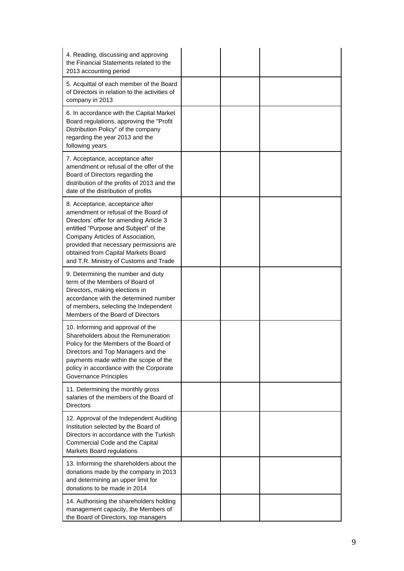| 4. Reading, discussing and approving<br>the Financial Statements related to the<br>2013 accounting period                                                                                                                                                                                                                   |  |  |
|-----------------------------------------------------------------------------------------------------------------------------------------------------------------------------------------------------------------------------------------------------------------------------------------------------------------------------|--|--|
| 5. Acquittal of each member of the Board<br>of Directors in relation to the activities of<br>company in 2013                                                                                                                                                                                                                |  |  |
| 6. In accordance with the Capital Market<br>Board regulations, approving the "Profit<br>Distribution Policy" of the company<br>regarding the year 2013 and the<br>following years                                                                                                                                           |  |  |
| 7. Acceptance, acceptance after<br>amendment or refusal of the offer of the<br>Board of Directors regarding the<br>distribution of the profits of 2013 and the<br>date of the distribution of profits                                                                                                                       |  |  |
| 8. Acceptance, acceptance after<br>amendment or refusal of the Board of<br>Directors' offer for amending Article 3<br>entitled "Purpose and Subject" of the<br>Company Articles of Association,<br>provided that necessary permissions are<br>obtained from Capital Markets Board<br>and T.R. Ministry of Customs and Trade |  |  |
| 9. Determining the number and duty<br>term of the Members of Board of<br>Directors, making elections in<br>accordance with the determined number<br>of members, selecting the Independent<br>Members of the Board of Directors                                                                                              |  |  |
| 10. Informing and approval of the<br>Shareholders about the Remuneration<br>Policy for the Members of the Board of<br>Directors and Top Managers and the<br>payments made within the scope of the<br>policy in accordance with the Corporate<br>Governance Principles                                                       |  |  |
| 11. Determining the monthly gross<br>salaries of the members of the Board of<br>Directors                                                                                                                                                                                                                                   |  |  |
| 12. Approval of the Independent Auditing<br>Institution selected by the Board of<br>Directors in accordance with the Turkish<br>Commercial Code and the Capital<br>Markets Board regulations                                                                                                                                |  |  |
| 13. Informing the shareholders about the<br>donations made by the company in 2013<br>and determining an upper limit for<br>donations to be made in 2014                                                                                                                                                                     |  |  |
| 14. Authorising the shareholders holding<br>management capacity, the Members of<br>the Board of Directors, top managers                                                                                                                                                                                                     |  |  |